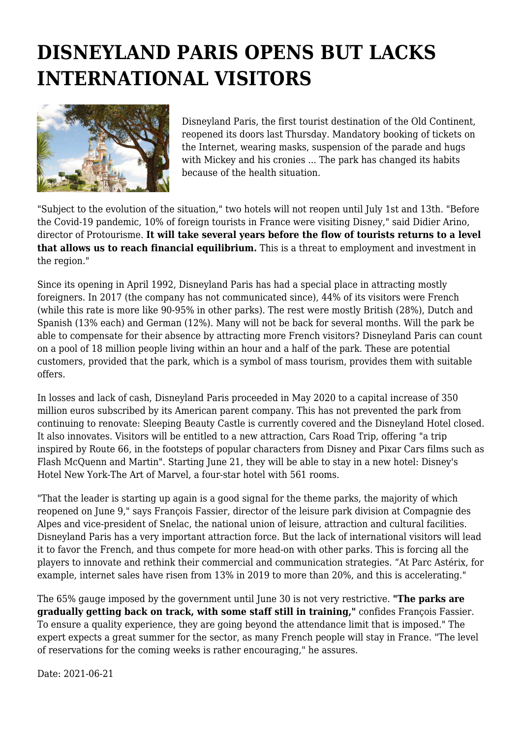## **DISNEYLAND PARIS OPENS BUT LACKS INTERNATIONAL VISITORS**



Disneyland Paris, the first tourist destination of the Old Continent, reopened its doors last Thursday. Mandatory booking of tickets on the Internet, wearing masks, suspension of the parade and hugs with Mickey and his cronies ... The park has changed its habits because of the health situation.

"Subject to the evolution of the situation," two hotels will not reopen until July 1st and 13th. "Before the Covid-19 pandemic, 10% of foreign tourists in France were visiting Disney," said Didier Arino, director of Protourisme. **It will take several years before the flow of tourists returns to a level that allows us to reach financial equilibrium.** This is a threat to employment and investment in the region."

Since its opening in April 1992, Disneyland Paris has had a special place in attracting mostly foreigners. In 2017 (the company has not communicated since), 44% of its visitors were French (while this rate is more like 90-95% in other parks). The rest were mostly British (28%), Dutch and Spanish (13% each) and German (12%). Many will not be back for several months. Will the park be able to compensate for their absence by attracting more French visitors? Disneyland Paris can count on a pool of 18 million people living within an hour and a half of the park. These are potential customers, provided that the park, which is a symbol of mass tourism, provides them with suitable offers.

In losses and lack of cash, Disneyland Paris proceeded in May 2020 to a capital increase of 350 million euros subscribed by its American parent company. This has not prevented the park from continuing to renovate: Sleeping Beauty Castle is currently covered and the Disneyland Hotel closed. It also innovates. Visitors will be entitled to a new attraction, Cars Road Trip, offering "a trip inspired by Route 66, in the footsteps of popular characters from Disney and Pixar Cars films such as Flash McQuenn and Martin". Starting June 21, they will be able to stay in a new hotel: Disney's Hotel New York-The Art of Marvel, a four-star hotel with 561 rooms.

"That the leader is starting up again is a good signal for the theme parks, the majority of which reopened on June 9," says François Fassier, director of the leisure park division at Compagnie des Alpes and vice-president of Snelac, the national union of leisure, attraction and cultural facilities. Disneyland Paris has a very important attraction force. But the lack of international visitors will lead it to favor the French, and thus compete for more head-on with other parks. This is forcing all the players to innovate and rethink their commercial and communication strategies. "At Parc Astérix, for example, internet sales have risen from 13% in 2019 to more than 20%, and this is accelerating."

The 65% gauge imposed by the government until June 30 is not very restrictive. **"The parks are gradually getting back on track, with some staff still in training,"** confides François Fassier. To ensure a quality experience, they are going beyond the attendance limit that is imposed." The expert expects a great summer for the sector, as many French people will stay in France. "The level of reservations for the coming weeks is rather encouraging," he assures.

Date: 2021-06-21